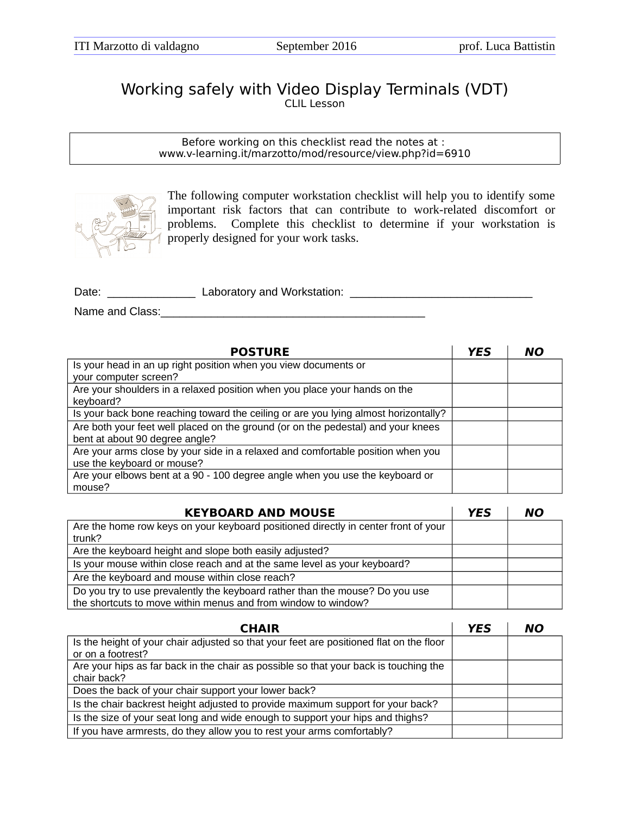## Working safely with Video Display Terminals (VDT) CLIL Lesson

Before working on this checklist read the notes at : www.v-learning.it/marzotto/mod/resource/view.php?id=6910



The following computer workstation checklist will help you to identify some important risk factors that can contribute to work-related discomfort or problems. Complete this checklist to determine if your workstation is properly designed for your work tasks.

Date: etc. etc. Alternation and Morkstation:  $\Box$ 

Name and Class:

| <b>POSTURE</b>                                                                      | YES | NO |
|-------------------------------------------------------------------------------------|-----|----|
| Is your head in an up right position when you view documents or                     |     |    |
| your computer screen?                                                               |     |    |
| Are your shoulders in a relaxed position when you place your hands on the           |     |    |
| keyboard?                                                                           |     |    |
| Is your back bone reaching toward the ceiling or are you lying almost horizontally? |     |    |
| Are both your feet well placed on the ground (or on the pedestal) and your knees    |     |    |
| bent at about 90 degree angle?                                                      |     |    |
| Are your arms close by your side in a relaxed and comfortable position when you     |     |    |
| use the keyboard or mouse?                                                          |     |    |
| Are your elbows bent at a 90 - 100 degree angle when you use the keyboard or        |     |    |
| mouse?                                                                              |     |    |

| <b>KEYBOARD AND MOUSE</b>                                                          | YES | NΟ |
|------------------------------------------------------------------------------------|-----|----|
| Are the home row keys on your keyboard positioned directly in center front of your |     |    |
| trunk?                                                                             |     |    |
| Are the keyboard height and slope both easily adjusted?                            |     |    |
| Is your mouse within close reach and at the same level as your keyboard?           |     |    |
| Are the keyboard and mouse within close reach?                                     |     |    |
| Do you try to use prevalently the keyboard rather than the mouse? Do you use       |     |    |
| the shortcuts to move within menus and from window to window?                      |     |    |

| <b>CHAIR</b>                                                                            | YES | NΟ |
|-----------------------------------------------------------------------------------------|-----|----|
| Is the height of your chair adjusted so that your feet are positioned flat on the floor |     |    |
| or on a footrest?                                                                       |     |    |
| Are your hips as far back in the chair as possible so that your back is touching the    |     |    |
| chair back?                                                                             |     |    |
| Does the back of your chair support your lower back?                                    |     |    |
| Is the chair backrest height adjusted to provide maximum support for your back?         |     |    |
| Is the size of your seat long and wide enough to support your hips and thighs?          |     |    |
| If you have armrests, do they allow you to rest your arms comfortably?                  |     |    |